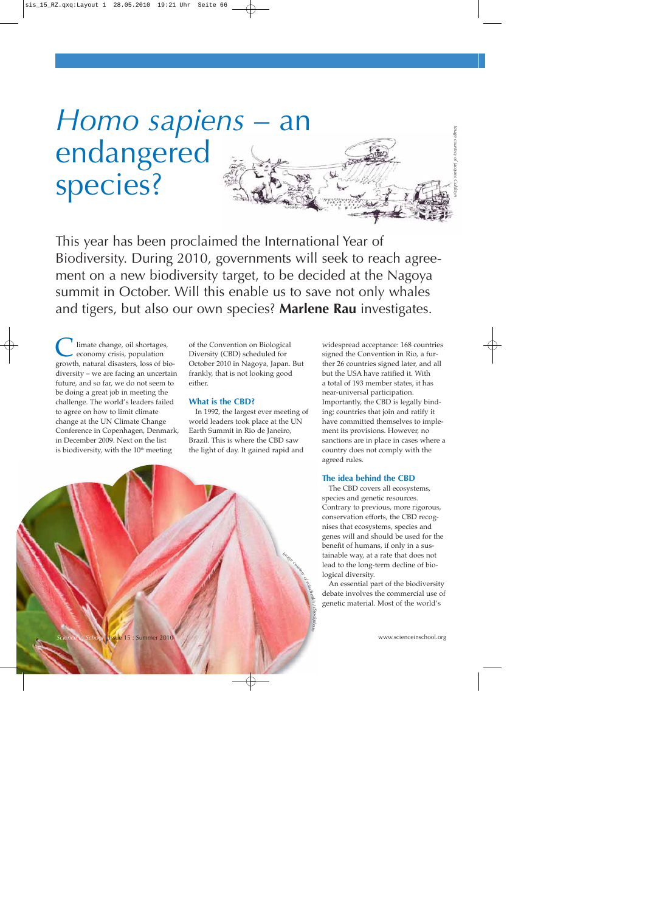# *Homo sapiens* – an endangered species? *Image courtesy of Jacques Goldstyn*

This year has been proclaimed the International Year of Biodiversity. During 2010, governments will seek to reach agreement on a new biodiversity target, to be decided at the Nagoya summit in October. Will this enable us to save not only whales and tigers, but also our own species? **Marlene Rau** investigates.

limate change, oil shortages, economy crisis, population growth, natural disasters, loss of biodiversity – we are facing an uncertain future, and so far, we do not seem to be doing a great job in meeting the challenge. The world's leaders failed to agree on how to limit climate change at the UN Climate Change Conference in Copenhagen, Denmark, in December 2009. Next on the list is biodiversity, with the  $10<sup>th</sup>$  meeting

of the Convention on Biological Diversity (CBD) scheduled for October 2010 in Nagoya, Japan. But frankly, that is not looking good either.

#### **What is the CBD?**

In 1992, the largest ever meeting of world leaders took place at the UN Earth Summit in Rio de Janeiro, Brazil. This is where the CBD saw the light of day. It gained rapid and

*Image courtesy of*

*volschenkh / iSoc<sup>k</sup>photo*

 widespread acceptance: 168 countries signed the Convention in Rio, a further 26 countries signed later, and all but the USA have ratified it. With a total of 193 member states, it has near-universal participation. Importantly, the CBD is legally binding; countries that join and ratify it have committed themselves to implement its provisions. However, no sanctions are in place in cases where a country does not comply with the agreed rules.

#### **The idea behind the CBD**

The CBD covers all ecosystems, species and genetic resources. Contrary to previous, more rigorous, conservation efforts, the CBD recognises that ecosystems, species and genes will and should be used for the benefit of humans, if only in a sustainable way, at a rate that does not lead to the long-term decline of biological diversity.

An essential part of the biodiversity debate involves the commercial use of genetic material. Most of the world's

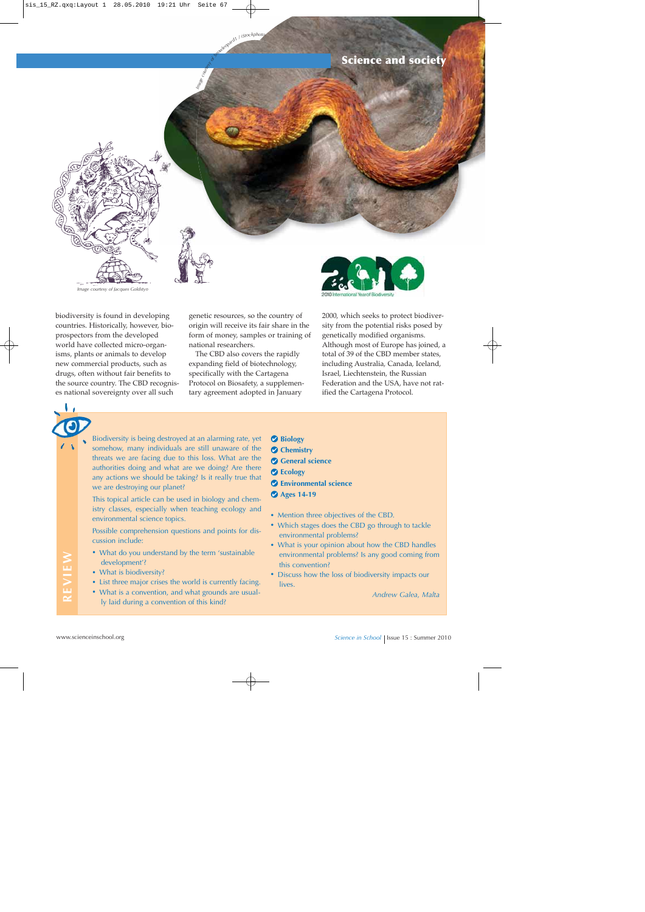### **Science and society**



integrated 1 / istockphote

*Image courtesy of Jacques Goldstyn*

biodiversity is found in developing countries. Historically, however, bioprospectors from the developed world have collected micro-organisms, plants or animals to develop new commercial products, such as drugs, often without fair benefits to the source country. The CBD recognises national sovereignty over all such

genetic resources, so the country of origin will receive its fair share in the form of money, samples or training of national researchers.

The CBD also covers the rapidly expanding field of biotechnology, specifically with the Cartagena Protocol on Biosafety, a supplementary agreement adopted in January



2000, which seeks to protect biodiversity from the potential risks posed by genetically modified organisms. Although most of Europe has joined, a total of 39 of the CBD member states, including Australia, Canada, Iceland, Israel, Liechtenstein, the Russian Federation and the USA, have not ratified the Cartagena Protocol.

Biodiversity is being destroyed at an alarming rate, yet somehow, many individuals are still unaware of the threats we are facing due to this loss. What are the authorities doing and what are we doing? Are there any actions we should be taking? Is it really true that we are destroying our planet?

This topical article can be used in biology and chemistry classes, especially when teaching ecology and environmental science topics.

Possible comprehension questions and points for discussion include:

- **·** What do you understand by the term 'sustainable development'?
- **·** What is biodiversity?
- **·** List three major crises the world is currently facing.
- **·** What is a convention, and what grounds are usually laid during a convention of this kind?
- **Biology**
- **Chemistry**
- **General science**
- **Ecology**
- **Environmental science**
- **Ages 14-19**
- **·** Mention three objectives of the CBD.
- **·** Which stages does the CBD go through to tackle environmental problems?
- **·** What is your opinion about how the CBD handles environmental problems? Is any good coming from this convention?
- What is biodiversity?<br>
What is biodiversity?<br>
What is biodiversity?<br>
What is biodiversity?<br>
What is a convention, and what grounds are usual-<br>
It and during a convention of this kind?<br>
What is a convention, and what ground **·** Discuss how the loss of biodiversity impacts our lives.

*Andrew Galea, Malta*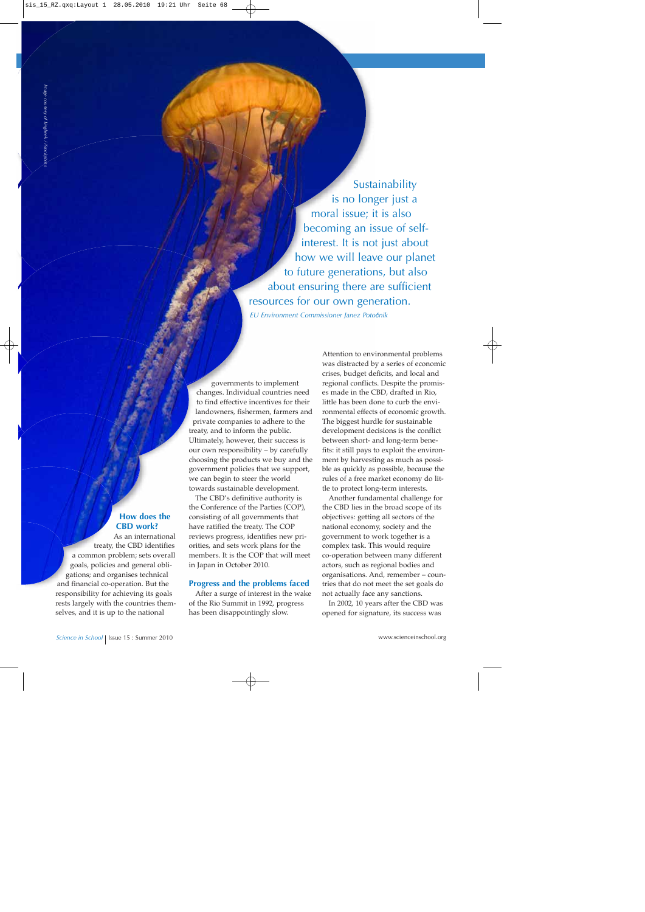Sustainability is no longer just a moral issue; it is also becoming an issue of selfinterest. It is not just about how we will leave our planet to future generations, but also about ensuring there are sufficient resources for our own generation.

*EU Environment Commissioner Janez Poto*č*nik*

#### **How does the CBD work?**

As an international treaty, the CBD identifies a common problem; sets overall goals, policies and general obligations; and organises technical and financial co-operation. But the responsibility for achieving its goals rests largely with the countries themselves, and it is up to the national

governments to implement changes. Individual countries need to find effective incentives for their landowners, fishermen, farmers and private companies to adhere to the treaty, and to inform the public. Ultimately, however, their success is our own responsibility – by carefully choosing the products we buy and the government policies that we support, we can begin to steer the world towards sustainable development.

The CBD's definitive authority is the Conference of the Parties (COP), consisting of all governments that have ratified the treaty. The COP reviews progress, identifies new priorities, and sets work plans for the members. It is the COP that will meet in Japan in October 2010.

#### **Progress and the problems faced**

After a surge of interest in the wake of the Rio Summit in 1992, progress has been disappointingly slow.

Attention to environmental problems was distracted by a series of economic crises, budget deficits, and local and regional conflicts. Despite the promises made in the CBD, drafted in Rio, little has been done to curb the environmental effects of economic growth. The biggest hurdle for sustainable development decisions is the conflict between short- and long-term benefits: it still pays to exploit the environment by harvesting as much as possible as quickly as possible, because the rules of a free market economy do little to protect long-term interests.

Another fundamental challenge for the CBD lies in the broad scope of its objectives: getting all sectors of the national economy, society and the government to work together is a complex task. This would require co-operation between many different actors, such as regional bodies and organisations. And, remember – countries that do not meet the set goals do not actually face any sanctions.

In 2002, 10 years after the CBD was opened for signature, its success was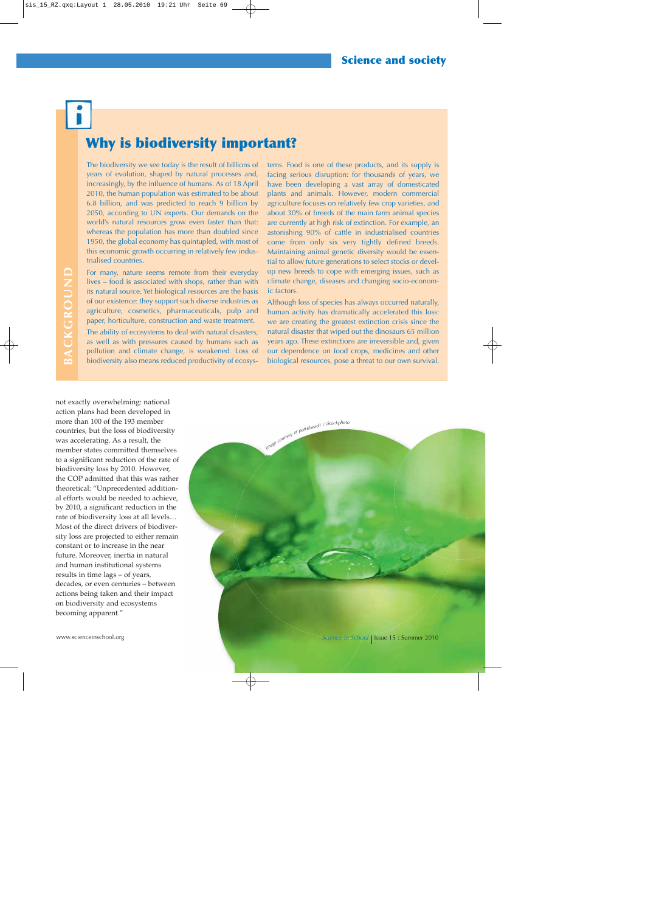## **Why is biodiversity important?**

The biodiversity we see today is the result of billions of years of evolution, shaped by natural processes and, increasingly, by the influence of humans. As of 18 April 2010, the human population was estimated to be about 6.8 billion, and was predicted to reach 9 billion by 2050, according to UN experts. Our demands on the world's natural resources grow even faster than that: whereas the population has more than doubled since 1950, the global economy has quintupled, with most of this economic growth occurring in relatively few industrialised countries.

For many, nature seems remote from their everyday lives – food is associated with shops, rather than with its natural source. Yet biological resources are the basis of our existence: they support such diverse industries as agriculture, cosmetics, pharmaceuticals, pulp and paper, horticulture, construction and waste treatment.

The ability of ecosystems to deal with natural disasters, as well as with pressures caused by humans such as pollution and climate change, is weakened. Loss of biodiversity also means reduced productivity of ecosystems. Food is one of these products, and its supply is facing serious disruption: for thousands of years, we have been developing a vast array of domesticated plants and animals. However, modern commercial agriculture focuses on relatively few crop varieties, and about 30% of breeds of the main farm animal species are currently at high risk of extinction. For example, an astonishing 90% of cattle in industrialised countries come from only six very tightly defined breeds. Maintaining animal genetic diversity would be essential to allow future generations to select stocks or develop new breeds to cope with emerging issues, such as climate change, diseases and changing socio-economic factors.

Although loss of species has always occurred naturally, human activity has dramatically accelerated this loss: we are creating the greatest extinction crisis since the natural disaster that wiped out the dinosaurs 65 million years ago. These extinctions are irreversible and, given our dependence on food crops, medicines and other biological resources, pose a threat to our own survival.

not exactly overwhelming: national action plans had been developed in more than 100 of the 193 member countries, but the loss of biodiversity was accelerating. As a result, the member states committed themselves to a significant reduction of the rate of biodiversity loss by 2010. However, the COP admitted that this was rather theoretical: "Unprecedented additional efforts would be needed to achieve, by 2010, a significant reduction in the rate of biodiversity loss at all levels… Most of the direct drivers of biodiversity loss are projected to either remain constant or to increase in the near future. Moreover, inertia in natural and human institutional systems results in time lags – of years, decades, or even centuries – between actions being taken and their impact on biodiversity and ecosystems becoming apparent."